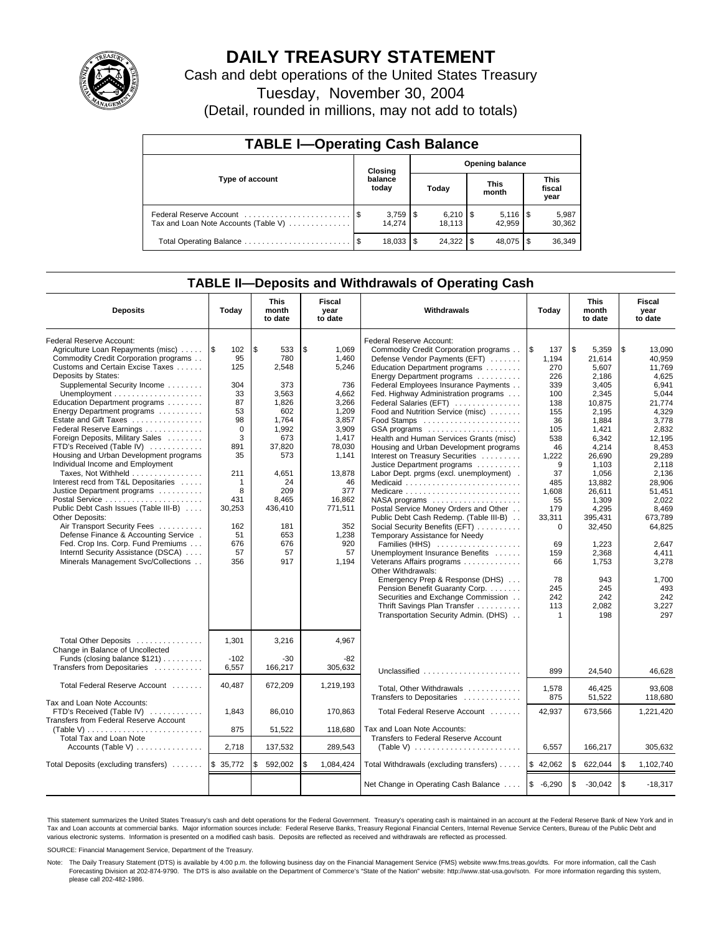

# **DAILY TREASURY STATEMENT**

Cash and debt operations of the United States Treasury

Tuesday, November 30, 2004

(Detail, rounded in millions, may not add to totals)

| <b>TABLE I-Operating Cash Balance</b>                           |                                   |                  |       |                              |                      |        |                               |                 |  |
|-----------------------------------------------------------------|-----------------------------------|------------------|-------|------------------------------|----------------------|--------|-------------------------------|-----------------|--|
|                                                                 | <b>Opening balance</b><br>Closing |                  |       |                              |                      |        |                               |                 |  |
| Type of account                                                 |                                   | balance<br>today | Today |                              | <b>This</b><br>month |        | <b>This</b><br>fiscal<br>year |                 |  |
| Federal Reserve Account<br>Tax and Loan Note Accounts (Table V) |                                   | 14.274           |       | $6,210$ $\sqrt{5}$<br>18.113 |                      | 42.959 |                               | 5,987<br>30,362 |  |
| Total Operating Balance                                         | - \$                              | 18,033           | - \$  | $24.322$ \$                  |                      | 48.075 |                               | 36,349          |  |

## **TABLE II—Deposits and Withdrawals of Operating Cash**

| <b>Deposits</b>                                                                                                                                                                                                                                                                                                                                                                                                                                                       | Today                                                                                    | <b>This</b><br>month<br>to date                                                                       | <b>Fiscal</b><br>year<br>to date                                                                              | Withdrawals                                                                                                                                                                                                                                                                                                                                                                                                                                                                                                                                                               | Today                                                                                                    | <b>This</b><br>month<br>to date                                                                                                     | <b>Fiscal</b><br>year<br>to date                                                                                                       |
|-----------------------------------------------------------------------------------------------------------------------------------------------------------------------------------------------------------------------------------------------------------------------------------------------------------------------------------------------------------------------------------------------------------------------------------------------------------------------|------------------------------------------------------------------------------------------|-------------------------------------------------------------------------------------------------------|---------------------------------------------------------------------------------------------------------------|---------------------------------------------------------------------------------------------------------------------------------------------------------------------------------------------------------------------------------------------------------------------------------------------------------------------------------------------------------------------------------------------------------------------------------------------------------------------------------------------------------------------------------------------------------------------------|----------------------------------------------------------------------------------------------------------|-------------------------------------------------------------------------------------------------------------------------------------|----------------------------------------------------------------------------------------------------------------------------------------|
| Federal Reserve Account:<br>Agriculture Loan Repayments (misc)<br>Commodity Credit Corporation programs<br>Customs and Certain Excise Taxes<br>Deposits by States:<br>Supplemental Security Income<br>Education Department programs<br>Energy Department programs<br>Estate and Gift Taxes<br>Federal Reserve Earnings<br>Foreign Deposits, Military Sales<br>FTD's Received (Table IV)<br>Housing and Urban Development programs<br>Individual Income and Employment | l \$<br>102<br>95<br>125<br>304<br>33<br>87<br>53<br>98<br>$\mathbf 0$<br>3<br>891<br>35 | l \$<br>533<br>780<br>2,548<br>373<br>3,563<br>1.826<br>602<br>1,764<br>1,992<br>673<br>37,820<br>573 | \$<br>1.069<br>1,460<br>5,246<br>736<br>4,662<br>3.266<br>1,209<br>3,857<br>3,909<br>1,417<br>78,030<br>1,141 | Federal Reserve Account:<br>Commodity Credit Corporation programs<br>Defense Vendor Payments (EFT)<br>Education Department programs<br>Energy Department programs<br>Federal Employees Insurance Payments<br>Fed. Highway Administration programs<br>Federal Salaries (EFT)<br>Food and Nutrition Service (misc)<br>GSA programs<br>Health and Human Services Grants (misc)<br>Housing and Urban Development programs<br>Interest on Treasury Securities<br>Justice Department programs                                                                                   | l\$<br>137<br>1,194<br>270<br>226<br>339<br>100<br>138<br>155<br>36<br>105<br>538<br>46<br>1,222<br>9    | \$<br>5,359<br>21,614<br>5,607<br>2,186<br>3,405<br>2.345<br>10.875<br>2,195<br>1,884<br>1.421<br>6,342<br>4,214<br>26,690<br>1,103 | \$<br>13,090<br>40,959<br>11.769<br>4,625<br>6.941<br>5.044<br>21.774<br>4,329<br>3,778<br>2.832<br>12,195<br>8,453<br>29,289<br>2,118 |
| Taxes, Not Withheld<br>Interest recd from T&L Depositaries<br>Justice Department programs<br>Public Debt Cash Issues (Table III-B)<br>Other Deposits:<br>Air Transport Security Fees<br>Defense Finance & Accounting Service.<br>Fed. Crop Ins. Corp. Fund Premiums<br>Interntl Security Assistance (DSCA)<br>Minerals Management Svc/Collections                                                                                                                     | 211<br>-1<br>8<br>431<br>30,253<br>162<br>51<br>676<br>57<br>356                         | 4.651<br>24<br>209<br>8.465<br>436,410<br>181<br>653<br>676<br>57<br>917                              | 13,878<br>46<br>377<br>16.862<br>771.511<br>352<br>1,238<br>920<br>57<br>1,194                                | Labor Dept. prgms (excl. unemployment).<br>Medicaid<br>Medicare<br>$NASA$ programs $\ldots \ldots \ldots \ldots \ldots$<br>Postal Service Money Orders and Other<br>Public Debt Cash Redemp. (Table III-B)<br>Social Security Benefits (EFT)<br>Temporary Assistance for Needy<br>Families (HHS)<br>Unemployment Insurance Benefits<br>Veterans Affairs programs<br>Other Withdrawals:<br>Emergency Prep & Response (DHS)<br>Pension Benefit Guaranty Corp.<br>Securities and Exchange Commission<br>Thrift Savings Plan Transfer<br>Transportation Security Admin. (DHS) | 37<br>485<br>1.608<br>55<br>179<br>33,311<br>$\Omega$<br>69<br>159<br>66<br>78<br>245<br>242<br>113<br>1 | 1,056<br>13.882<br>26.611<br>1.309<br>4,295<br>395,431<br>32,450<br>1,223<br>2,368<br>1,753<br>943<br>245<br>242<br>2,082<br>198    | 2,136<br>28.906<br>51.451<br>2.022<br>8.469<br>673,789<br>64,825<br>2,647<br>4,411<br>3,278<br>1.700<br>493<br>242<br>3,227<br>297     |
| Total Other Deposits<br>Change in Balance of Uncollected<br>Funds (closing balance \$121)<br>Transfers from Depositaries                                                                                                                                                                                                                                                                                                                                              | 1,301<br>$-102$<br>6,557                                                                 | 3,216<br>$-30$<br>166,217                                                                             | 4,967<br>$-82$<br>305,632                                                                                     | Unclassified                                                                                                                                                                                                                                                                                                                                                                                                                                                                                                                                                              | 899                                                                                                      | 24,540                                                                                                                              | 46.628                                                                                                                                 |
| Total Federal Reserve Account                                                                                                                                                                                                                                                                                                                                                                                                                                         | 40.487                                                                                   | 672,209                                                                                               | 1,219,193                                                                                                     | Total, Other Withdrawals<br>Transfers to Depositaries                                                                                                                                                                                                                                                                                                                                                                                                                                                                                                                     | 1,578<br>875                                                                                             | 46,425<br>51,522                                                                                                                    | 93,608<br>118.680                                                                                                                      |
| Tax and Loan Note Accounts:<br>FTD's Received (Table IV)<br>Transfers from Federal Reserve Account<br>(Table V) $\ldots \ldots \ldots \ldots \ldots \ldots \ldots$<br>Total Tax and Loan Note<br>Accounts (Table V)                                                                                                                                                                                                                                                   | 1,843<br>875<br>2,718                                                                    | 86,010<br>51,522<br>137,532                                                                           | 170.863<br>118,680<br>289,543                                                                                 | Total Federal Reserve Account<br>Tax and Loan Note Accounts:<br>Transfers to Federal Reserve Account                                                                                                                                                                                                                                                                                                                                                                                                                                                                      | 42,937<br>6,557                                                                                          | 673,566<br>166,217                                                                                                                  | 1,221,420<br>305,632                                                                                                                   |
| Total Deposits (excluding transfers)                                                                                                                                                                                                                                                                                                                                                                                                                                  | \$35,772                                                                                 | 592,002<br>\$                                                                                         | \$<br>1,084,424                                                                                               | Total Withdrawals (excluding transfers)                                                                                                                                                                                                                                                                                                                                                                                                                                                                                                                                   | \$42,062                                                                                                 | \$<br>622,044                                                                                                                       | l \$<br>1,102,740                                                                                                                      |
|                                                                                                                                                                                                                                                                                                                                                                                                                                                                       |                                                                                          |                                                                                                       |                                                                                                               | Net Change in Operating Cash Balance                                                                                                                                                                                                                                                                                                                                                                                                                                                                                                                                      | $$ -6,290$                                                                                               | \$<br>$-30,042$                                                                                                                     | l \$<br>$-18,317$                                                                                                                      |

This statement summarizes the United States Treasury's cash and debt operations for the Federal Government. Treasury's operating cash is maintained in an account at the Federal Reserve Bank of New York and in Tax and Loan accounts at commercial banks. Major information sources include: Federal Reserve Banks, Treasury Regional Financial Centers, Internal Revenue Service Centers, Bureau of the Public Debt and<br>various electronic s

SOURCE: Financial Management Service, Department of the Treasury.

Note: The Daily Treasury Statement (DTS) is available by 4:00 p.m. the following business day on the Financial Management Service (FMS) website www.fms.treas.gov/dts. For more information, call the Cash Forecasting Division at 202-874-9790. The DTS is also available on the Department of Commerce's "State of the Nation" website: http://www.stat-usa.gov/sotn. For more information regarding this system, please call 202-482-1986.